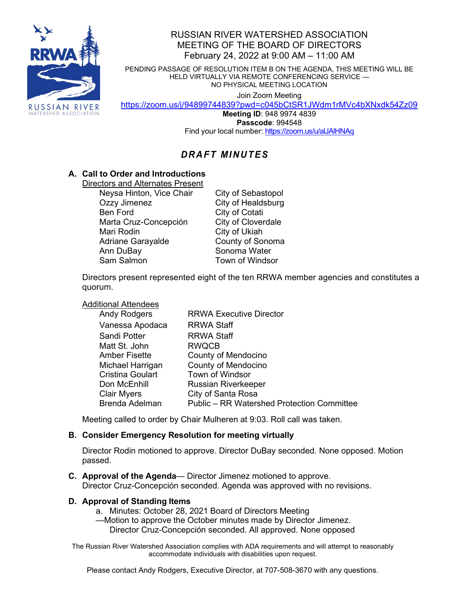

# RUSSIAN RIVER WATERSHED ASSOCIATION MEETING OF THE BOARD OF DIRECTORS February 24, 2022 at 9:00 AM – 11:00 AM

PENDING PASSAGE OF RESOLUTION ITEM B ON THE AGENDA, THIS MEETING WILL BE HELD VIRTUALLY VIA REMOTE CONFERENCING SERVICE — NO PHYSICAL MEETING LOCATION

Join Zoom Meeting

<https://zoom.us/j/94899744839?pwd=c045bCtSR1JWdm1rMVc4bXNxdk54Zz09>

**Meeting ID**: 948 9974 4839 **Passcode**: 994548 Find your local number: <https://zoom.us/u/alJAlHNAq>

# *DRAFT MINUTES*

# **A. Call to Order and Introductions**

Directors and Alternates Present

Neysa Hinton, Vice Chair City of Sebastopol Ozzy Jimenez City of Healdsburg Ben Ford City of Cotati Marta Cruz-Concepción Mari Rodin **City of Ukiah** Adriane Garayalde **County of Sonoma** Ann DuBay Sonoma Water

Town of Windsor

Directors present represented eight of the ten RRWA member agencies and constitutes a quorum.

### Additional Attendees

| <b>Andy Rodgers</b>     | <b>RRWA Executive Director</b>                    |
|-------------------------|---------------------------------------------------|
| Vanessa Apodaca         | <b>RRWA Staff</b>                                 |
| Sandi Potter            | <b>RRWA Staff</b>                                 |
| Matt St. John           | <b>RWQCB</b>                                      |
| <b>Amber Fisette</b>    | <b>County of Mendocino</b>                        |
| Michael Harrigan        | <b>County of Mendocino</b>                        |
| <b>Cristina Goulart</b> | <b>Town of Windsor</b>                            |
| Don McEnhill            | <b>Russian Riverkeeper</b>                        |
| <b>Clair Myers</b>      | City of Santa Rosa                                |
| <b>Brenda Adelman</b>   | <b>Public - RR Watershed Protection Committee</b> |

Meeting called to order by Chair Mulheren at 9:03. Roll call was taken.

### **B. Consider Emergency Resolution for meeting virtually**

Director Rodin motioned to approve. Director DuBay seconded. None opposed. Motion passed.

**C. Approval of the Agenda**— Director Jimenez motioned to approve. Director Cruz-Concepción seconded. Agenda was approved with no revisions.

### **D. Approval of Standing Items**

- a. Minutes: October 28, 2021 Board of Directors Meeting
- —Motion to approve the October minutes made by Director Jimenez.
	- Director Cruz-Concepción seconded. All approved. None opposed

The Russian River Watershed Association complies with ADA requirements and will attempt to reasonably accommodate individuals with disabilities upon request.

Please contact Andy Rodgers, Executive Director, at 707-508-3670 with any questions.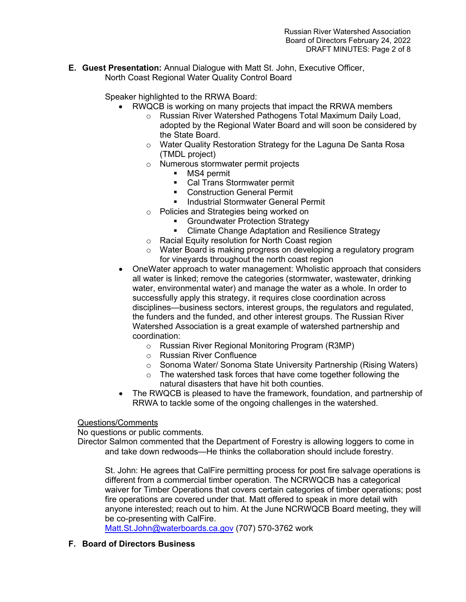**E. Guest Presentation:** Annual Dialogue with Matt St. John, Executive Officer, North Coast Regional Water Quality Control Board

Speaker highlighted to the RRWA Board:

- RWQCB is working on many projects that impact the RRWA members
	- o Russian River Watershed Pathogens Total Maximum Daily Load, adopted by the Regional Water Board and will soon be considered by the State Board.
	- o Water Quality Restoration Strategy for the Laguna De Santa Rosa (TMDL project)
	- o Numerous stormwater permit projects<br>■ MS4 permit
		- MS4 permit
		- **Cal Trans Stormwater permit**
		- **EXECONSTRUCTION General Permit**
		- **Industrial Stormwater General Permit**
	- o Policies and Strategies being worked on
		- **Groundwater Protection Strategy**<br>**Climate Change Adaptation and F**
		- Climate Change Adaptation and Resilience Strategy
	- o Racial Equity resolution for North Coast region
	- o Water Board is making progress on developing a regulatory program for vineyards throughout the north coast region
- OneWater approach to water management: Wholistic approach that considers all water is linked; remove the categories (stormwater, wastewater, drinking water, environmental water) and manage the water as a whole. In order to successfully apply this strategy, it requires close coordination across disciplines—business sectors, interest groups, the regulators and regulated, the funders and the funded, and other interest groups. The Russian River Watershed Association is a great example of watershed partnership and coordination:
	- o Russian River Regional Monitoring Program (R3MP)
	- o Russian River Confluence
	- o Sonoma Water/ Sonoma State University Partnership (Rising Waters)
	- $\circ$  The watershed task forces that have come together following the natural disasters that have hit both counties.
- The RWQCB is pleased to have the framework, foundation, and partnership of RRWA to tackle some of the ongoing challenges in the watershed.

### Questions/Comments

No questions or public comments.

Director Salmon commented that the Department of Forestry is allowing loggers to come in and take down redwoods—He thinks the collaboration should include forestry.

St. John: He agrees that CalFire permitting process for post fire salvage operations is different from a commercial timber operation. The NCRWQCB has a categorical waiver for Timber Operations that covers certain categories of timber operations; post fire operations are covered under that. Matt offered to speak in more detail with anyone interested; reach out to him. At the June NCRWQCB Board meeting, they will be co-presenting with CalFire.

[Matt.St.John@waterboards.ca.gov](mailto:Matt.St.John@waterboards.ca.gov) (707) 570-3762 work

# **F. Board of Directors Business**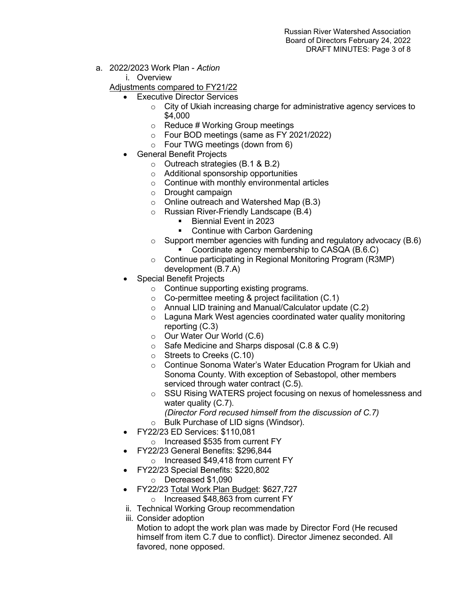- a. 2022/2023 Work Plan *Action*
	- i. Overview
	- Adjustments compared to FY21/22
		- Executive Director Services
			- $\circ$  City of Ukiah increasing charge for administrative agency services to \$4,000
			- $\circ$  Reduce # Working Group meetings
			- o Four BOD meetings (same as FY 2021/2022)
			- $\circ$  Four TWG meetings (down from 6)
		- General Benefit Projects
			- o Outreach strategies (B.1 & B.2)
			- o Additional sponsorship opportunities
			- o Continue with monthly environmental articles
			- o Drought campaign
			- o Online outreach and Watershed Map (B.3)
			- $\circ$  Russian River-Friendly Landscape (B.4)<br>Riennial Event in 2023
				- Biennial Event in 2023
				- Continue with Carbon Gardening
			- $\circ$  Support member agencies with funding and regulatory advocacy (B.6) Coordinate agency membership to CASQA (B.6.C)
			- o Continue participating in Regional Monitoring Program (R3MP) development (B.7.A)
		- Special Benefit Projects
			- o Continue supporting existing programs.
			- o Co-permittee meeting & project facilitation (C.1)
			- o Annual LID training and Manual/Calculator update (C.2)
			- o Laguna Mark West agencies coordinated water quality monitoring reporting (C.3)
			- o Our Water Our World (C.6)
			- o Safe Medicine and Sharps disposal (C.8 & C.9)
			- o Streets to Creeks (C.10)
			- o Continue Sonoma Water's Water Education Program for Ukiah and Sonoma County. With exception of Sebastopol, other members serviced through water contract (C.5).
			- o SSU Rising WATERS project focusing on nexus of homelessness and water quality (C.7).
				- *(Director Ford recused himself from the discussion of C.7)*
			- o Bulk Purchase of LID signs (Windsor).
		- FY22/23 ED Services: \$110,081
			- o Increased \$535 from current FY
		- FY22/23 General Benefits: \$296,844
			- o Increased \$49,418 from current FY
		- FY22/23 Special Benefits: \$220,802
			- o Decreased \$1,090
		- FY22/23 Total Work Plan Budget: \$627,727
			- o Increased \$48,863 from current FY
		- ii. Technical Working Group recommendation
		- iii. Consider adoption
			- Motion to adopt the work plan was made by Director Ford (He recused himself from item C.7 due to conflict). Director Jimenez seconded. All favored, none opposed.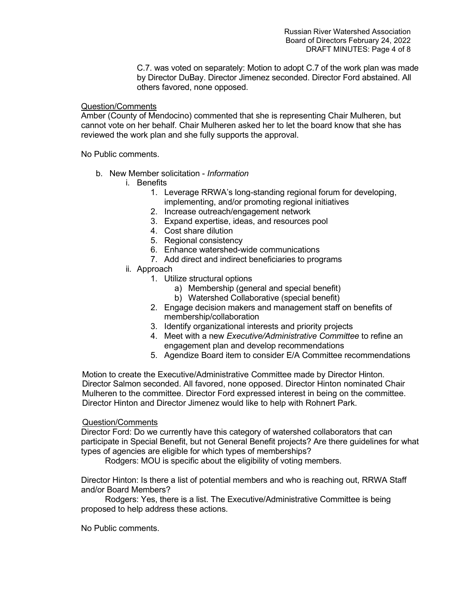C.7. was voted on separately: Motion to adopt C.7 of the work plan was made by Director DuBay. Director Jimenez seconded. Director Ford abstained. All others favored, none opposed.

#### Question/Comments

Amber (County of Mendocino) commented that she is representing Chair Mulheren, but cannot vote on her behalf. Chair Mulheren asked her to let the board know that she has reviewed the work plan and she fully supports the approval.

No Public comments.

- b. New Member solicitation *Information*
	- i. Benefits
		- 1. Leverage RRWA's long-standing regional forum for developing, implementing, and/or promoting regional initiatives
		- 2. Increase outreach/engagement network
		- 3. Expand expertise, ideas, and resources pool
		- 4. Cost share dilution
		- 5. Regional consistency
		- 6. Enhance watershed-wide communications
		- 7. Add direct and indirect beneficiaries to programs
	- ii. Approach
		- 1. Utilize structural options
			- a) Membership (general and special benefit)
			- b) Watershed Collaborative (special benefit)
		- 2. Engage decision makers and management staff on benefits of membership/collaboration
		- 3. Identify organizational interests and priority projects
		- 4. Meet with a new *Executive/Administrative Committee* to refine an engagement plan and develop recommendations
		- 5. Agendize Board item to consider E/A Committee recommendations

Motion to create the Executive/Administrative Committee made by Director Hinton. Director Salmon seconded. All favored, none opposed. Director Hinton nominated Chair Mulheren to the committee. Director Ford expressed interest in being on the committee. Director Hinton and Director Jimenez would like to help with Rohnert Park.

#### Question/Comments

Director Ford: Do we currently have this category of watershed collaborators that can participate in Special Benefit, but not General Benefit projects? Are there guidelines for what types of agencies are eligible for which types of memberships?

Rodgers: MOU is specific about the eligibility of voting members.

Director Hinton: Is there a list of potential members and who is reaching out, RRWA Staff and/or Board Members?

Rodgers: Yes, there is a list. The Executive/Administrative Committee is being proposed to help address these actions.

No Public comments.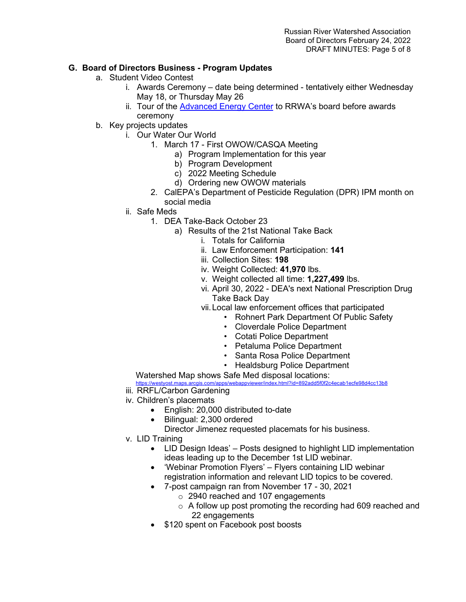### **G. Board of Directors Business - Program Updates**

- a. Student Video Contest
	- i. Awards Ceremony date being determined tentatively either Wednesday May 18, or Thursday May 26
	- ii. Tour of the [Advanced Energy Center](https://protect-us.mimecast.com/s/yJWeClYM8LCWLnDUG0MWq?domain=scpadvancedenergycenter.org/) to RRWA's board before awards ceremony
- b. Key projects updates
	- i. Our Water Our World
		- 1. March 17 First OWOW/CASQA Meeting
			- a) Program Implementation for this year
			- b) Program Development
			- c) 2022 Meeting Schedule
			- d) Ordering new OWOW materials
		- 2. CalEPA's Department of Pesticide Regulation (DPR) IPM month on social media
	- ii. Safe Meds
		- 1. DEA Take-Back October 23
			- a) Results of the 21st National Take Back
				- i. Totals for California
				- ii. Law Enforcement Participation: **141**
				- iii. Collection Sites: **198**
				- iv. Weight Collected: **41,970** lbs.
				- v. Weight collected all time: **1,227,499** lbs.
				- vi. April 30, 2022 DEA's next National Prescription Drug Take Back Day
				- vii.Local law enforcement offices that participated
					- Rohnert Park Department Of Public Safety
					- Cloverdale Police Department
					- Cotati Police Department
					- Petaluma Police Department
					- Santa Rosa Police Department
					- Healdsburg Police Department

#### Watershed Map shows Safe Med disposal locations:

<https://westyost.maps.arcgis.com/apps/webappviewer/index.html?id=892add5f0f2c4ecab1ecfe98d4cc13b8>

- iii. RRFL/Carbon Gardening
- iv. Children's placemats
	- English: 20,000 distributed to-date
		- Bilingual: 2,300 ordered
		- Director Jimenez requested placemats for his business.
- v. LID Training
	- LID Design Ideas' Posts designed to highlight LID implementation ideas leading up to the December 1st LID webinar.
	- 'Webinar Promotion Flyers' Flyers containing LID webinar registration information and relevant LID topics to be covered.
	- 7-post campaign ran from November 17 30, 2021
		- o 2940 reached and 107 engagements
		- $\circ$  A follow up post promoting the recording had 609 reached and 22 engagements
	- \$120 spent on Facebook post boosts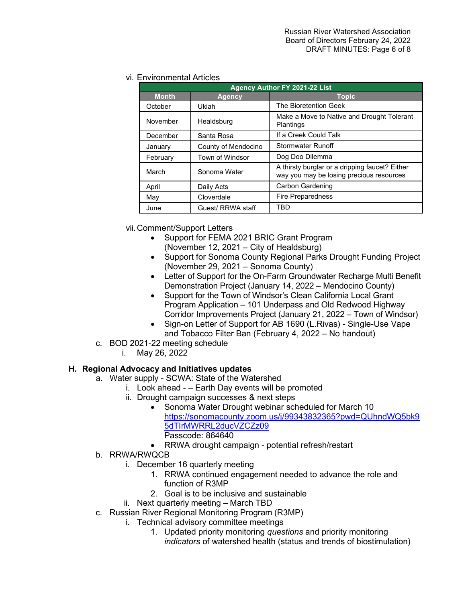### vi. Environmental Articles

| Agency Author FY 2021-22 List |                     |                                                                                            |  |
|-------------------------------|---------------------|--------------------------------------------------------------------------------------------|--|
| <b>Month</b>                  | Agency              | <b>Topic</b>                                                                               |  |
| October                       | Ukiah               | The Bioretention Geek                                                                      |  |
| November                      | Healdsburg          | Make a Move to Native and Drought Tolerant<br>Plantings                                    |  |
| December                      | Santa Rosa          | If a Creek Could Talk                                                                      |  |
| January                       | County of Mendocino | <b>Stormwater Runoff</b>                                                                   |  |
| February                      | Town of Windsor     | Dog Doo Dilemma                                                                            |  |
| March                         | Sonoma Water        | A thirsty burglar or a dripping faucet? Either<br>way you may be losing precious resources |  |
| April                         | Daily Acts          | Carbon Gardening                                                                           |  |
| May                           | Cloverdale          | <b>Fire Preparedness</b>                                                                   |  |
| June                          | Guest/ RRWA staff   | <b>TBD</b>                                                                                 |  |

vii. Comment/Support Letters

- Support for FEMA 2021 BRIC Grant Program (November 12, 2021 – City of Healdsburg)
- Support for Sonoma County Regional Parks Drought Funding Project (November 29, 2021 – Sonoma County)
- Letter of Support for the On-Farm Groundwater Recharge Multi Benefit Demonstration Project (January 14, 2022 – Mendocino County)
- Support for the Town of Windsor's Clean California Local Grant Program Application – 101 Underpass and Old Redwood Highway Corridor Improvements Project (January 21, 2022 – Town of Windsor)
- Sign-on Letter of Support for AB 1690 (L.Rivas) Single-Use Vape and Tobacco Filter Ban (February 4, 2022 – No handout)
- c. BOD 2021-22 meeting schedule
	- i. May 26, 2022

# **H. Regional Advocacy and Initiatives updates**

- a. Water supply SCWA: State of the Watershed
	- i. Look ahead – Earth Day events will be promoted
		- ii. Drought campaign successes & next steps
			- Sonoma Water Drought webinar scheduled for March 10 [https://sonomacounty.zoom.us/j/99343832365?pwd=QUhndWQ5bk9](https://sonomacounty.zoom.us/j/99343832365?pwd=QUhndWQ5bk95dTIrMWRRL2ducVZCZz09) [5dTIrMWRRL2ducVZCZz09](https://sonomacounty.zoom.us/j/99343832365?pwd=QUhndWQ5bk95dTIrMWRRL2ducVZCZz09)  Passcode: 864640
			- RRWA drought campaign potential refresh/restart
- b. RRWA/RWQCB
	- i. December 16 quarterly meeting
		- 1. RRWA continued engagement needed to advance the role and function of R3MP
		- 2. Goal is to be inclusive and sustainable
	- ii. Next quarterly meeting March TBD
- c. Russian River Regional Monitoring Program (R3MP)
	- i. Technical advisory committee meetings
		- 1. Updated priority monitoring *questions* and priority monitoring *indicators* of watershed health (status and trends of biostimulation)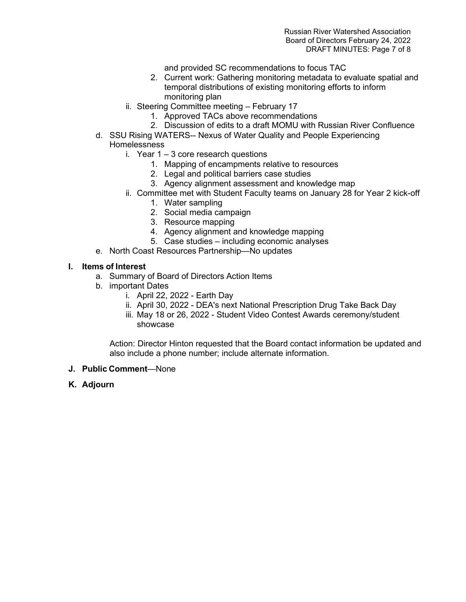and provided SC recommendations to focus TAC

- 2. Current work: Gathering monitoring metadata to evaluate spatial and temporal distributions of existing monitoring efforts to inform monitoring plan
- ii. Steering Committee meeting February 17
	- 1. Approved TACs above recommendations
	- 2. Discussion of edits to a draft MOMU with Russian River Confluence
- d. SSU Rising WATERS-- Nexus of Water Quality and People Experiencing Homelessness
	- i. Year  $1 3$  core research questions
		- 1. Mapping of encampments relative to resources
		- 2. Legal and political barriers case studies
		- 3. Agency alignment assessment and knowledge map
	- ii. Committee met with Student Faculty teams on January 28 for Year 2 kick-off
		- 1. Water sampling
		- 2. Social media campaign
		- 3. Resource mapping
		- 4. Agency alignment and knowledge mapping
		- 5. Case studies including economic analyses
- e. North Coast Resources Partnership—No updates

#### **I. Items of Interest**

- a. Summary of Board of Directors Action Items
- b. important Dates
	- i. April 22, 2022 Earth Day
	- ii. April 30, 2022 DEA's next National Prescription Drug Take Back Day
	- iii. May 18 or 26, 2022 Student Video Contest Awards ceremony/student showcase

Action: Director Hinton requested that the Board contact information be updated and also include a phone number; include alternate information.

- **J. Public Comment**—None
- **K. Adjourn**